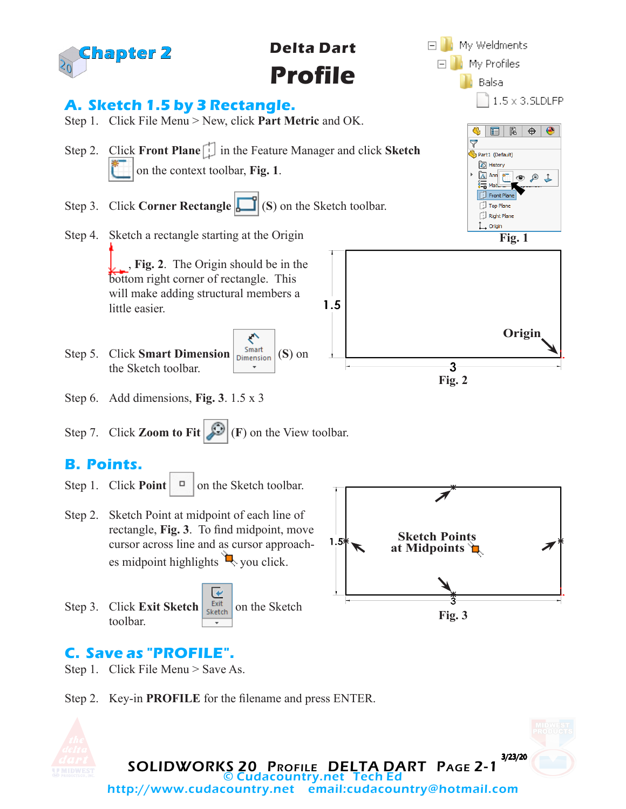

## **C. Save as "PROFILE".**

- Step 1. Click File Menu > Save As.
- Step 2. Key-in **PROFILE** for the filename and press ENTER.

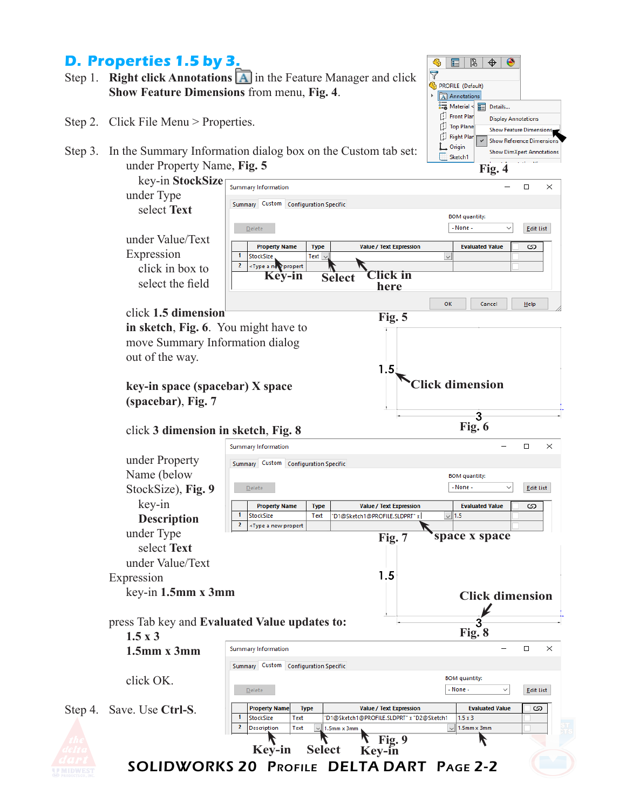## **D. Properties 1.5 by 3.**

- Step 1. **Right click Annotations <b>A** in the Feature Manager and click **Show Feature Dimensions** from menu, **Fig. 4**.
- Step 2. Click File Menu > Properties.

Step 4.

Step 3. In the Summary Information dialog box on the Custom tab set: under Property Name, **Fig. 5**

| key-in StockSize                              |                                                                                                                         |                     |                                                                 |                                      |                  |
|-----------------------------------------------|-------------------------------------------------------------------------------------------------------------------------|---------------------|-----------------------------------------------------------------|--------------------------------------|------------------|
| under Type                                    | Summary Information                                                                                                     |                     |                                                                 |                                      | □<br>×           |
| select Text                                   | Summary Custom Configuration Specific                                                                                   |                     |                                                                 |                                      |                  |
|                                               |                                                                                                                         |                     |                                                                 | <b>BOM</b> quantity:<br>- None -     |                  |
| under Value/Text                              | Delete                                                                                                                  |                     |                                                                 |                                      | <b>Edit List</b> |
| Expression                                    | <b>Property Name</b>                                                                                                    | <b>Type</b>         | <b>Value / Text Expression</b>                                  | <b>Evaluated Value</b>               | ග                |
| click in box to                               | StockSize<br>2<br><type a="" not="" propert<="" th=""><th>Text <math>\sim</math></th><th></th><th></th><th></th></type> | Text $\sim$         |                                                                 |                                      |                  |
|                                               | Key-in                                                                                                                  |                     | Click in<br><b>Select</b>                                       |                                      |                  |
| select the field                              |                                                                                                                         |                     | here                                                            |                                      |                  |
|                                               |                                                                                                                         |                     |                                                                 | OK<br>Cancel                         | Help             |
| click 1.5 dimension                           |                                                                                                                         |                     | Fig. 5                                                          |                                      |                  |
| in sketch, Fig. 6. You might have to          |                                                                                                                         |                     |                                                                 |                                      |                  |
| move Summary Information dialog               |                                                                                                                         |                     |                                                                 |                                      |                  |
| out of the way.                               |                                                                                                                         |                     |                                                                 |                                      |                  |
|                                               |                                                                                                                         |                     | 1.5                                                             |                                      |                  |
| key-in space (spacebar) X space               |                                                                                                                         |                     |                                                                 | <b>Click dimension</b>               |                  |
| (spacebar), Fig. 7                            |                                                                                                                         |                     |                                                                 |                                      |                  |
|                                               |                                                                                                                         |                     |                                                                 | 3                                    |                  |
| click 3 dimension in sketch, Fig. 8           |                                                                                                                         |                     |                                                                 | Fig. 6                               |                  |
|                                               | Summary Information                                                                                                     |                     |                                                                 |                                      | □<br>×           |
| under Property                                |                                                                                                                         |                     |                                                                 |                                      |                  |
| Name (below                                   | Summary Custom Configuration Specific                                                                                   |                     |                                                                 | <b>BOM</b> quantity:                 |                  |
| StockSize), Fig. 9                            | Delete                                                                                                                  |                     |                                                                 | - None -                             | <b>Edit List</b> |
|                                               |                                                                                                                         |                     |                                                                 |                                      |                  |
| key-in                                        | <b>Property Name</b><br>1<br>StockSize                                                                                  | <b>Type</b><br>Text | <b>Value / Text Expression</b><br>"D1@Sketch1@PROFILE.SLDPRT" x | <b>Evaluated Value</b><br>$\vee$ 1.5 | ග                |
| <b>Description</b>                            | 2<br><type a="" new="" propert<="" th=""><th></th><th></th><th></th><th></th></type>                                    |                     |                                                                 |                                      |                  |
| under Type                                    |                                                                                                                         |                     | Fig. 7                                                          | space x space                        |                  |
| select Text                                   |                                                                                                                         |                     |                                                                 |                                      |                  |
| under Value/Text                              |                                                                                                                         |                     |                                                                 |                                      |                  |
| Expression                                    |                                                                                                                         |                     | 1.5                                                             |                                      |                  |
| $key-in$ 1.5mm x 3mm                          |                                                                                                                         |                     |                                                                 | <b>Click dimension</b>               |                  |
|                                               |                                                                                                                         |                     |                                                                 |                                      |                  |
| press Tab key and Evaluated Value updates to: |                                                                                                                         |                     |                                                                 |                                      |                  |
| $1.5 \times 3$                                |                                                                                                                         |                     |                                                                 | Fig. 8                               |                  |
| $1.5$ mm x $3$ mm                             | Summary Information                                                                                                     |                     |                                                                 |                                      | □<br>X           |
|                                               | Summary Custom Configuration Specific                                                                                   |                     |                                                                 |                                      |                  |
| click OK.                                     |                                                                                                                         |                     |                                                                 | <b>BOM</b> quantity:                 |                  |
|                                               | Delete                                                                                                                  |                     |                                                                 | - None -<br>$\checkmark$             | <b>Edit List</b> |
| Save. Use Ctrl-S.                             | <b>Property Name</b>                                                                                                    | <b>Type</b>         | <b>Value / Text Expression</b>                                  | <b>Evaluated Value</b>               | ග                |
|                                               | 1<br>Text<br>StockSize                                                                                                  |                     | 'D1@Sketch1@PROFILE.SLDPRT" x "D2@Sketch1                       | $1.5 \times 3$                       |                  |
|                                               | 2<br><b>Description</b><br>Text                                                                                         |                     | 1.5mm x 3mm                                                     | 1.5mm x 3mm                          |                  |
|                                               | Key-in                                                                                                                  | <b>Select</b>       | Fig. 9<br><b>Key-in</b>                                         |                                      |                  |
|                                               |                                                                                                                         |                     | <b>SOLIDWORKS 20 PROFILE DELTA DART PAGE 2-2</b>                |                                      |                  |
|                                               |                                                                                                                         |                     |                                                                 |                                      |                  |

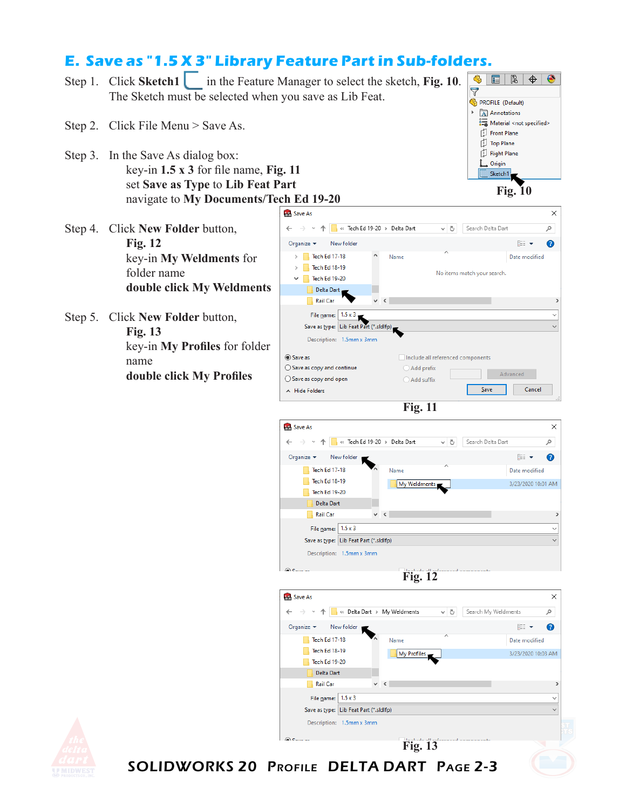## **E. Save as "1.5 X 3" Library Feature Part in Sub-folders.**

- Step 1. Click **Sketch1** in the Feature Manager to select the sketch, Fig. 10. The Sketch must be selected when you save as Lib Feat.
- Step 2. Click File Menu > Save As.
- Step 3. In the Save As dialog box: key-in **1.5 x 3** for file name, **Fig. 11** set **Save as Type** to **Lib Feat Part** navigate to **My Documents/Tech Ed 19-20**
- Step 4. Click **New Folder** button, **Fig. 12** key-in **My Weldments** for folder name **double click My Weldments**
- Step 5. Click **New Folder** button, **Fig. 13** key-in **My Profiles** for folder name **double click My Profiles**





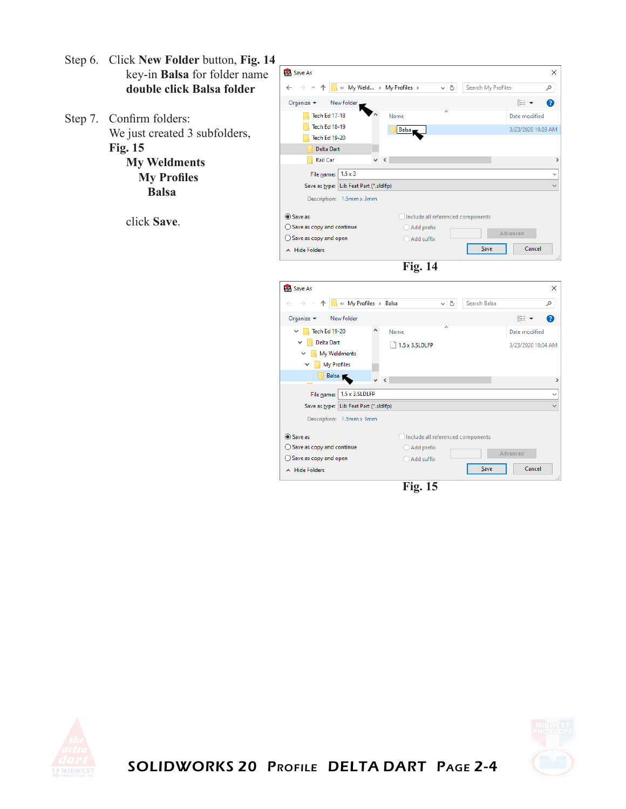- Step 6. Click **New Folder** button, **Fig. 14** key-in **Balsa** for folder name **double click Balsa folder**
- Step 7. Confirm folders: We just created 3 subfolders, **Fig. 15 My Weldments My Profiles**

click **Save**.

 **Balsa**





**Fig. 15**





SOLIDWORKS 20 Profile DELTA DART Page 2-4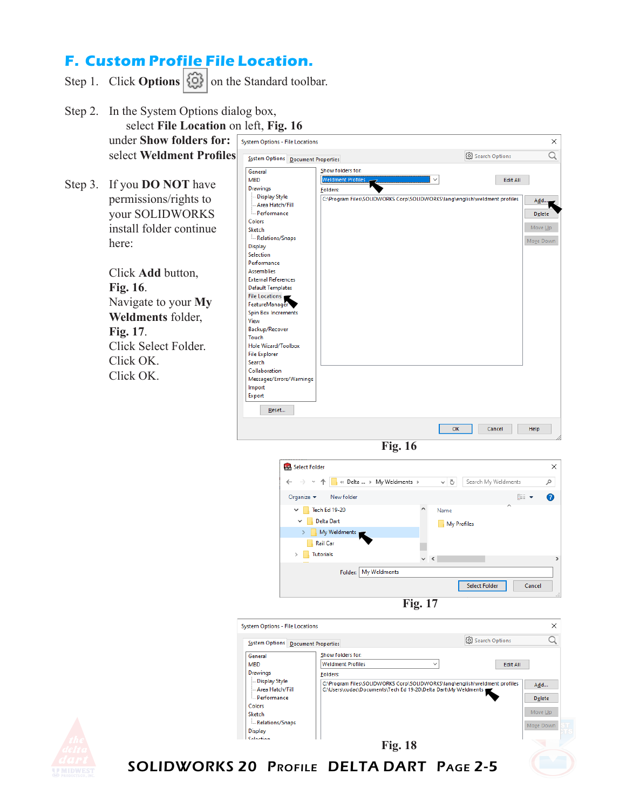## **F. Custom Profile File Location.**

- Step 1. Click **Options**  $\left|\left\{\begin{matrix}\phi\\ \phi\end{matrix}\right\}\right|$  on the Standard toolbar.
- Step 2. In the System Options dialog box, select **File Location** on left, **Fig. 16** under **Show folders for:** System Options - File Locations select **Weldment Profiles**. System Options Document Properties Show folders for: General **MRD** Step 3. If you **DO NOT** have Drawings Folders: - Display Style permissions/rights to Area Hatch/Fill your SOLIDWORKS Performance Colors install folder continue Sketch Relations/Snaps here: **Display** Selection Performance Click **Add** button, **Assemblies External References Fig. 16**. **Default Templates**

Navigate to your **My Weldments** folder, **Fig. 17**. Click Select Folder. Click OK. Click OK.



 $\times$ 

**Fig. 16**









SOLIDWORKS 20 Profile DELTA DART Page 2-5